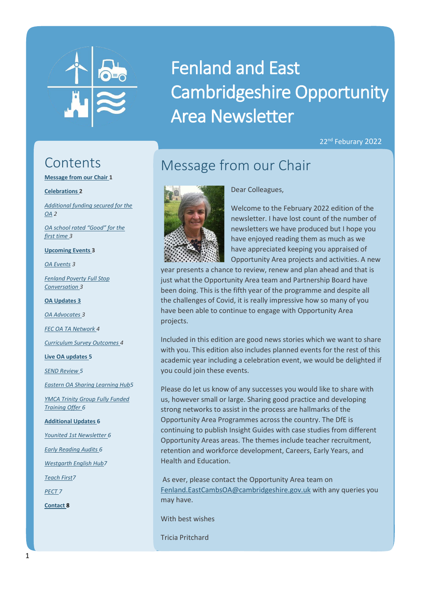

# Fenland and East Cambridgeshire Opportunity Area Newsletter

22<sup>nd</sup> Feburary 2022

### **Contents**

**Message from our Chair 1**

**[Celebrations](#page-1-0) 2**

*[Additional funding secured for the](#page-1-1)  [OA](#page-1-1) 2*

*[OA school rated "Good" for the](#page-1-2)  [first time](#page-1-2) 3*

**[Upcoming Events](#page-2-0) 3**

*[OA Events](#page-2-1) 3*

*[Fenland Poverty Full Stop](#page-2-2) [Conversation](#page-2-2) 3*

**[OA Updates](#page-2-3) 3**

*[OA Advocates](#page-2-4) 3*

*[FEC OA TA Network](#page-3-0) 4*

*[Curriculum Survey](#page-3-1) Outcomes 4*

**[Live OA updates](#page-4-0) 5**

*[SEND Review](#page-4-1) 5*

*[Eastern OA Sharing Learning Hub5](#page-4-2)*

*[YMCA Trinity Group Fully Funded](#page-5-0)  [Training Offer](#page-5-0) 6*

**[Additional Updates](#page-5-1) 6**

*[Younited 1st Newsletter](#page-5-2) 6*

*[Early Reading Audits](#page-5-3) 6*

*[Westgarth English Hub7](#page-6-0)*

*[Teach First7](#page-6-1)*

*[PECT](#page-6-2) 7*

**[Contact](#page-6-3) 8**

# Message from our Chair

Dear Colleagues,



Welcome to the February 2022 edition of the newsletter. I have lost count of the number of newsletters we have produced but I hope you have enjoyed reading them as much as we have appreciated keeping you appraised of Opportunity Area projects and activities. A new

year presents a chance to review, renew and plan ahead and that is just what the Opportunity Area team and Partnership Board have been doing. This is the fifth year of the programme and despite all the challenges of Covid, it is really impressive how so many of you have been able to continue to engage with Opportunity Area projects.

Included in this edition are good news stories which we want to share with you. This edition also includes planned events for the rest of this academic year including a celebration event, we would be delighted if you could join these events.

Please do let us know of any successes you would like to share with us, however small or large. Sharing good practice and developing strong networks to assist in the process are hallmarks of the Opportunity Area Programmes across the country. The DfE is continuing to publish Insight Guides with case studies from different Opportunity Areas areas. The themes include teacher recruitment, retention and workforce development, Careers, Early Years, and Health and Education.

As ever, please contact the Opportunity Area team on [Fenland.EastCambsOA@cambridgeshire.gov.uk](mailto:Fenland.EastCambsOA@cambridgeshire.gov.uk) with any queries you may have.

With best wishes

Tricia Pritchard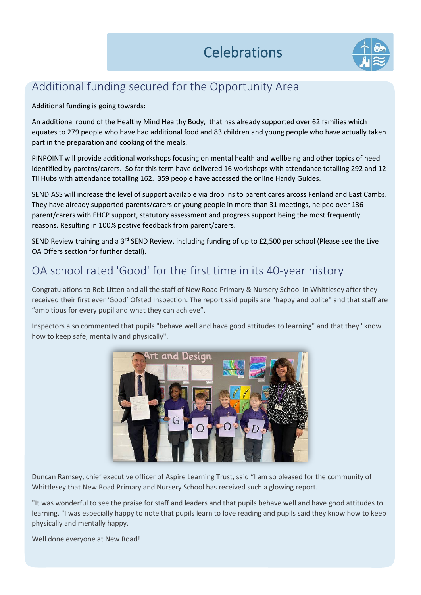

### <span id="page-1-0"></span>Additional funding secured for the Opportunity Area

<span id="page-1-1"></span>Additional funding is going towards:

An additional round of the Healthy Mind Healthy Body, that has already supported over 62 families which equates to 279 people who have had additional food and 83 children and young people who have actually taken part in the preparation and cooking of the meals.

PINPOINT will provide additional workshops focusing on mental health and wellbeing and other topics of need identified by paretns/carers. So far this term have delivered 16 workshops with attendance totalling 292 and 12 Tii Hubs with attendance totalling 162. 359 people have accessed the online Handy Guides.

SENDIASS will increase the level of support available via drop ins to parent cares arcoss Fenland and East Cambs. They have already supported parents/carers or young people in more than 31 meetings, helped over 136 parent/carers with EHCP support, statutory assessment and progress support being the most frequently reasons. Resulting in 100% postive feedback from parent/carers.

SEND Review training and a 3<sup>rd</sup> SEND Review, including funding of up to £2,500 per school (Please see the Live OA Offers section for further detail).

### <span id="page-1-2"></span>OA school rated 'Good' for the first time in its 40-year history

Congratulations to Rob Litten and all the staff of New Road Primary & Nursery School in Whittlesey after they received their first ever 'Good' Ofsted Inspection. The report said pupils are "happy and polite" and that staff are "ambitious for every pupil and what they can achieve".

Inspectors also commented that pupils "behave well and have good attitudes to learning" and that they "know how to keep safe, mentally and physically".



Duncan Ramsey, chief executive officer of Aspire Learning Trust, said "I am so pleased for the community of Whittlesey that New Road Primary and Nursery School has received such a glowing report.

"It was wonderful to see the praise for staff and leaders and that pupils behave well and have good attitudes to learning. "I was especially happy to note that pupils learn to love reading and pupils said they know how to keep physically and mentally happy.

Well done everyone at New Road!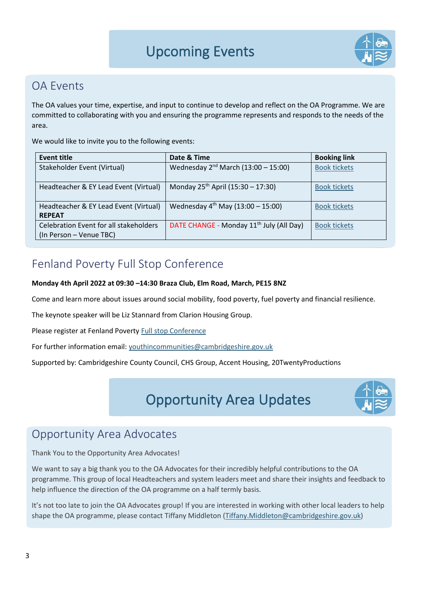

### <span id="page-2-1"></span><span id="page-2-0"></span>OA Events

The OA values your time, expertise, and input to continue to develop and reflect on the OA Programme. We are committed to collaborating with you and ensuring the programme represents and responds to the needs of the area.

We would like to invite you to the following events:

| <b>Event title</b>                                                | Date & Time                                          | <b>Booking link</b> |
|-------------------------------------------------------------------|------------------------------------------------------|---------------------|
| Stakeholder Event (Virtual)                                       | Wednesday $2^{nd}$ March (13:00 - 15:00)             | <b>Book tickets</b> |
| Headteacher & EY Lead Event (Virtual)                             | Monday $25^{th}$ April (15:30 – 17:30)               | <b>Book tickets</b> |
| Headteacher & EY Lead Event (Virtual)<br><b>REPEAT</b>            | Wednesday $4^{th}$ May (13:00 - 15:00)               | <b>Book tickets</b> |
| Celebration Event for all stakeholders<br>(In Person - Venue TBC) | DATE CHANGE - Monday 11 <sup>th</sup> July (All Day) | <b>Book tickets</b> |

### Fenland Poverty Full Stop Conference

#### **Monday 4th April 2022 at 09:30 –14:30 Braza Club, Elm Road, March, PE15 8NZ**

Come and learn more about issues around social mobility, food poverty, fuel poverty and financial resilience.

The keynote speaker will be Liz Stannard from Clarion Housing Group.

Please register at Fenland Povert[y Full stop Conference](https://fenlandeastcambridgeshireoa.files.wordpress.com/2022/02/fenland-poverty-fullstop-2022-002.pdf)

For further information email: [youthincommunities@cambridgeshire.gov.uk](mailto:youthincommunities@cambridgeshire.gov.uk)

<span id="page-2-3"></span>Supported by: Cambridgeshire County Council, CHS Group, Accent Housing, 20TwentyProductions

Opportunity Area Updates

<span id="page-2-2"></span>

### Opportunity Area Advocates

<span id="page-2-4"></span>Thank You to the Opportunity Area Advocates!

We want to say a big thank you to the OA Advocates for their incredibly helpful contributions to the OA programme. This group of local Headteachers and system leaders meet and share their insights and feedback to help influence the direction of the OA programme on a half termly basis.

It's not too late to join the OA Advocates group! If you are interested in working with other local leaders to help shape the OA programme, please contact Tiffany Middleton [\(Tiffany.Middleton@cambridgeshire.gov.uk\)](mailto:Tiffany.Middleton@cambridgeshire.gov.uk)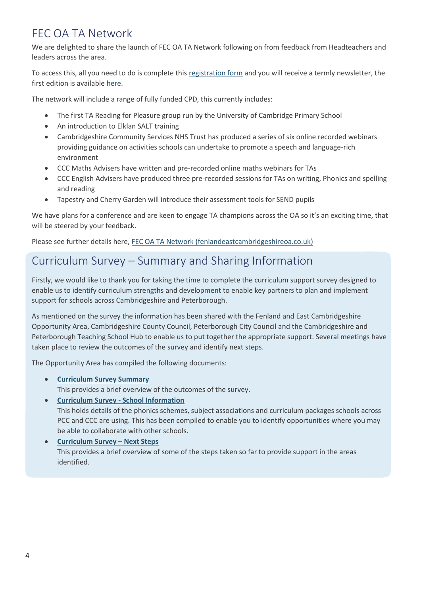### <span id="page-3-0"></span>FEC OA TA Network

We are delighted to share the launch of FEC OA TA Network following on from feedback from Headteachers and leaders across the area.

To access this, all you need to do is complete this [registration form](https://docs.google.com/forms/d/e/1FAIpQLSckiYeXdUWBEV5UjJr2GSdQpGya1GsyvCf19drvZJ5Tk4WFbA/viewform) and you will receive a termly newsletter, the first edition is availabl[e here.](https://fenlandeastcambridgeshireoa.files.wordpress.com/2022/02/ta-network-newsletter-issue-1-2022.pdf)

The network will include a range of fully funded CPD, this currently includes:

- The first TA Reading for Pleasure group run by the University of Cambridge Primary School
- An introduction to Elklan SALT training
- Cambridgeshire Community Services NHS Trust has produced a series of six online recorded webinars providing guidance on activities schools can undertake to promote a speech and language-rich environment
- CCC Maths Advisers have written and pre-recorded online maths webinars for TAs
- CCC English Advisers have produced three pre-recorded sessions for TAs on writing, Phonics and spelling and reading
- Tapestry and Cherry Garden will introduce their assessment tools for SEND pupils

We have plans for a conference and are keen to engage TA champions across the OA so it's an exciting time, that will be steered by your feedback.

Please see further details here, FEC OA TA [Network \(fenlandeastcambridgeshireoa.co.uk\)](https://fenlandeastcambridgeshireoa.co.uk/fec-oa-ta-network/)

### <span id="page-3-1"></span>Curriculum Survey – Summary and Sharing Information

Firstly, we would like to thank you for taking the time to complete the curriculum support survey designed to enable us to identify curriculum strengths and development to enable key partners to plan and implement support for schools across Cambridgeshire and Peterborough.

As mentioned on the survey the information has been shared with the Fenland and East Cambridgeshire Opportunity Area, Cambridgeshire County Council, Peterborough City Council and the Cambridgeshire and Peterborough Teaching School Hub to enable us to put together the appropriate support. Several meetings have taken place to review the outcomes of the survey and identify next steps.

The Opportunity Area has compiled the following documents:

- **[Curriculum Survey Summary](https://fenlandeastcambridgeshireoa.files.wordpress.com/2022/02/sharing-curriculum-survey-summary.pdf)** This provides a brief overview of the outcomes of the survey.
- **[Curriculum Survey -](https://fenlandeastcambridgeshireoa.files.wordpress.com/2022/02/curriculum-survey-school-information.pdf) School Information** This holds details of the phonics schemes, subject associations and curriculum packages schools across PCC and CCC are using. This has been compiled to enable you to identify opportunities where you may be able to collaborate with other schools.
- **[Curriculum Survey](https://fenlandeastcambridgeshireoa.files.wordpress.com/2022/02/curriculum-survey-next-steps.pdf) – Next Steps** This provides a brief overview of some of the steps taken so far to provide support in the areas identified.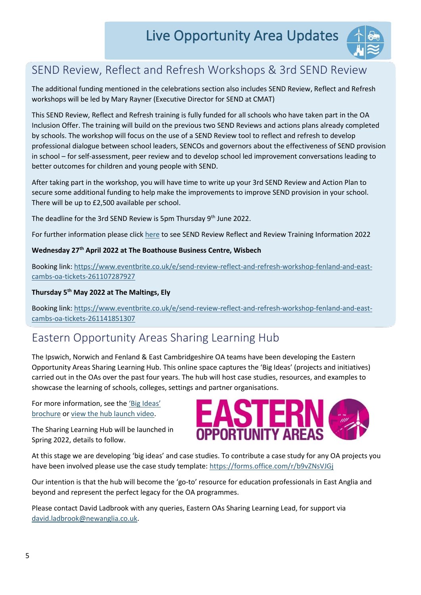

### <span id="page-4-1"></span><span id="page-4-0"></span>SEND Review, Reflect and Refresh Workshops & 3rd SEND Review

The additional funding mentioned in the celebrations section also includes SEND Review, Reflect and Refresh workshops will be led by Mary Rayner (Executive Director for SEND at CMAT)

This SEND Review, Reflect and Refresh training is fully funded for all schools who have taken part in the OA Inclusion Offer. The training will build on the previous two SEND Reviews and actions plans already completed by schools. The workshop will focus on the use of a SEND Review tool to reflect and refresh to develop professional dialogue between school leaders, SENCOs and governors about the effectiveness of SEND provision in school – for self-assessment, peer review and to develop school led improvement conversations leading to better outcomes for children and young people with SEND.

After taking part in the workshop, you will have time to write up your 3rd SEND Review and Action Plan to secure some additional funding to help make the improvements to improve SEND provision in your school. There will be up to £2,500 available per school.

The deadline for the 3rd SEND Review is 5pm Thursday 9<sup>th</sup> June 2022.

For further information please click [here](https://fenlandeastcambridgeshireoa.co.uk/send-review-reflect-and-refresh-workshops-3rd-send-review/) to see SEND Review Reflect and Review Training Information 2022

#### **Wednesday 27th April 2022 at The Boathouse Business Centre, Wisbech**

Booking link: [https://www.eventbrite.co.uk/e/send-review-reflect-and-refresh-workshop-fenland-and-east](https://www.eventbrite.co.uk/e/send-review-reflect-and-refresh-workshop-fenland-and-east-cambs-oa-tickets-261107287927)[cambs-oa-tickets-261107287927](https://www.eventbrite.co.uk/e/send-review-reflect-and-refresh-workshop-fenland-and-east-cambs-oa-tickets-261107287927)

#### **Thursday 5th May 2022 at The Maltings, Ely**

Booking link: [https://www.eventbrite.co.uk/e/send-review-reflect-and-refresh-workshop-fenland-and-east](https://www.eventbrite.co.uk/e/send-review-reflect-and-refresh-workshop-fenland-and-east-cambs-oa-tickets-261141851307)[cambs-oa-tickets-261141851307](https://www.eventbrite.co.uk/e/send-review-reflect-and-refresh-workshop-fenland-and-east-cambs-oa-tickets-261141851307)

### <span id="page-4-2"></span>Eastern Opportunity Areas Sharing Learning Hub

The Ipswich, Norwich and Fenland & East Cambridgeshire OA teams have been developing the Eastern Opportunity Areas Sharing Learning Hub. This online space captures the 'Big Ideas' (projects and initiatives) carried out in the OAs over the past four years. The hub will host case studies, resources, and examples to showcase the learning of schools, colleges, settings and partner organisations.

For more information, see the ['Big Ideas'](https://fenlandeastcambridgeshireoa.files.wordpress.com/2021/11/sharing-big-ideas.pdf)  [brochure](https://fenlandeastcambridgeshireoa.files.wordpress.com/2021/11/sharing-big-ideas.pdf) o[r view the hub launch video.](https://ipswichopportunityarea.co.uk/the-eastern-opportunity-area-sharing-learning-hub/)

The Sharing Learning Hub will be launched in Spring 2022, details to follow.



At this stage we are developing 'big ideas' and case studies. To contribute a case study for any OA projects you have been involved please use the case study template: <https://forms.office.com/r/b9vZNsVJGj>

Our intention is that the hub will become the 'go-to' resource for education professionals in East Anglia and beyond and represent the perfect legacy for the OA programmes.

Please contact David Ladbrook with any queries, Eastern OAs Sharing Learning Lead, for support via [david.ladbrook@newanglia.co.uk.](mailto:david.ladbrook@newanglia.co.uk)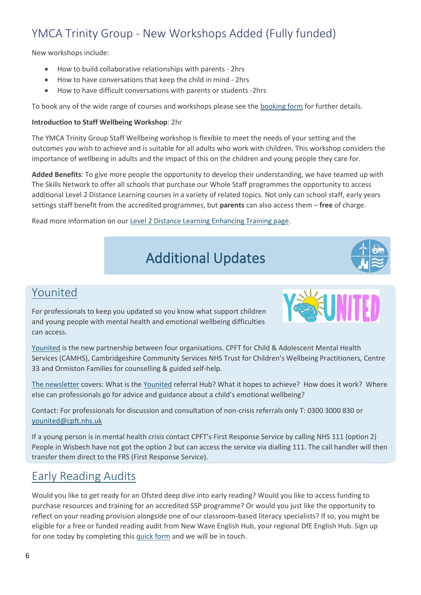### <span id="page-5-2"></span><span id="page-5-0"></span>YMCA Trinity Group - New Workshops Added (Fully funded)

New workshops include:

- How to build collaborative relationships with parents 2hrs
- How to have conversations that keep the child in mind 2hrs
- How to have difficult conversations with parents or students -2hrs

To book any of the wide range of courses and workshops please see the [booking form](https://fenlandeastcambridgeshireoa.files.wordpress.com/2022/02/mental-health-training-fec-funding-form-spring-22v8.docx) for further details.

#### **Introduction to Staff Wellbeing Workshop**: 2hr

The YMCA Trinity Group Staff Wellbeing workshop is flexible to meet the needs of your setting and the outcomes you wish to achieve and is suitable for all adults who work with children. This workshop considers the importance of wellbeing in adults and the impact of this on the children and young people they care for.

**Added Benefits**: To give more people the opportunity to develop their understanding, we have teamed up with The Skills Network to offer all schools that purchase our Whole Staff programmes the opportunity to access additional Level 2 Distance Learning courses in a variety of related topics. Not only can school staff, early years settings staff benefit from the accredited programmes, but **parents** can also access them – **free** of charge.

<span id="page-5-1"></span>Read more information on our [Level 2 Distance Learning Enhancing Training page.](https://ymcatrinitygroup.org.uk/level-2-distance-learning-enhanced-training/)

# Additional Updates



### [Younited](https://fenlandeastcambridgeshireoa.files.wordpress.com/2022/02/younited-newlstter-professionals-issue-1.pdf)

For professionals to keep you updated so you know what support children and young people with mental health and emotional wellbeing difficulties can access.



[Younited](https://fenlandeastcambridgeshireoa.files.wordpress.com/2022/02/younited-newlstter-professionals-issue-1.pdf) is the new partnership between four organisations. CPFT for Child & Adolescent Mental Health Services (CAMHS), Cambridgeshire Community Services NHS Trust for Children's Wellbeing Practitioners, Centre 33 and Ormiston Families for counselling & guided self-help.

[The newsletter](https://fenlandeastcambridgeshireoa.files.wordpress.com/2022/02/younited-newlstter-professionals-issue-1.pdf) covers: What is the [Younited](https://fenlandeastcambridgeshireoa.files.wordpress.com/2022/02/younited-newlstter-professionals-issue-1.pdf) referral Hub? What it hopes to achieve? How does it work? Where else can professionals go for advice and guidance about a child's emotional wellbeing?

Contact: For professionals for discussion and consultation of non-crisis referrals only T: 0300 3000 830 or [younited@cpft.nhs.uk](mailto:younited@cpft.nhs.uk)

If a young person is in mental health crisis contact CPFT's First Response Service by calling NHS 111 (option 2) People in Wisbech have not got the option 2 but can access the service via dialling 111. The call handler will then transfer them direct to the FRS (First Response Service).

### <span id="page-5-3"></span>[Early Reading Audits](https://drive.google.com/file/d/1m2QP9e5i51Xgrb84MQNgLtMCI-I2CvVH/view?usp=sharing)

Would you like to get ready for an Ofsted deep dive into early reading? Would you like to access funding to purchase resources and training for an accredited SSP programme? Or would you just like the opportunity to reflect on your reading provision alongside one of our classroom-based literacy specialists? If so, you might be eligible for a free or funded reading audit from New Wave English Hub, your regional DfE English Hub. Sign up for one today by completing this [quick form](https://docs.google.com/forms/d/e/1FAIpQLScjt5g36n3F0qio_zbUeRUJmuXIyBdi-bW6351KjolhQP93Qg/viewform?usp=sf_link) and we will be in touch.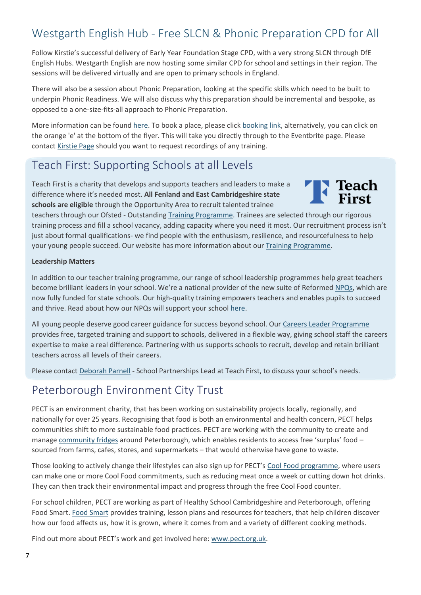### <span id="page-6-1"></span><span id="page-6-0"></span>Westgarth English Hub - [Free SLCN & Phonic Preparation CPD for All](https://drive.google.com/file/d/1m2QP9e5i51Xgrb84MQNgLtMCI-I2CvVH/view?usp=sharing)

Follow Kirstie's successful delivery of Early Year Foundation Stage CPD, with a very strong SLCN through DfE English Hubs. Westgarth English are now hosting some similar CPD for school and settings in their region. The sessions will be delivered virtually and are open to primary schools in England.

There will also be a session about Phonic Preparation, looking at the specific skills which need to be built to underpin Phonic Readiness. We will also discuss why this preparation should be incremental and bespoke, as opposed to a one-size-fits-all approach to Phonic Preparation.

More information can be foun[d here.](https://fenlandeastcambridgeshireoa.files.wordpress.com/2022/02/westgarth-english-hub-slcn-phonic-preparation-cpd.pdf) To book a place, please click [booking link,](https://www.eventbrite.co.uk/o/westgarth-english-hub-18591624716) alternatively, you can click on the orange 'e' at the bottom of the flyer. This will take you directly through to the Eventbrite page. Please contact [Kirstie Page](mailto:kirstie.page@launchpadforliteracy.co.uk) should you want to request recordings of any training.

### Teach First: Supporting Schools at all Levels

Teach First is a charity that develops and supports teachers and leaders to make a difference where it's needed most. **All Fenland and East Cambridgeshire state schools are eligible** through the Opportunity Area to recruit talented trainee



teachers through our Ofsted - Outstanding [Training Programme.](https://www.teachfirst.org.uk/training-programme) Trainees are selected through our rigorous training process and fill a school vacancy, adding capacity where you need it most. Our recruitment process isn't just about formal qualifications- we find people with the enthusiasm, resilience, and resourcefulness to help your young people succeed. Our website has more information about our [Training Programme.](https://www.teachfirst.org.uk/teacher-recruitment)

#### **Leadership Matters**

In addition to our teacher training programme, our range of school leadership programmes help great teachers become brilliant leaders in your school. We're a national provider of the new suite of Reformed [NPQs,](https://www.teachfirst.org.uk/npqs) which are now fully funded for state schools. Our high-quality training empowers teachers and enables pupils to succeed and thrive. Read about how our NPQs will support your school [here.](https://www.teachfirst.org.uk/blog/7-ways-npqs-support-school)

All young people deserve good career guidance for success beyond school. Our [Careers Leader Programme](https://www.teachfirst.org.uk/careers-leader) provides free, targeted training and support to schools, delivered in a flexible way, giving school staff the careers expertise to make a real difference. Partnering with us supports schools to recruit, develop and retain brilliant teachers across all levels of their careers.

Please contact [Deborah Parnell](mailto:dparnell@teachfirst.org.uk) - School Partnerships Lead at Teach First, to discuss your school's needs.

### <span id="page-6-2"></span>Peterborough Environment City Trust

PECT is an environment charity, that has been working on sustainability projects locally, regionally, and nationally for over 25 years. Recognising that food is both an environmental and health concern, PECT helps communities shift to more sustainable food practices. PECT are working with the community to create and manage [community fridges](https://www.pect.org.uk/projects/community-fridge-march/) around Peterborough, which enables residents to access free 'surplus' food – sourced from farms, cafes, stores, and supermarkets – that would otherwise have gone to waste.

Those looking to actively change their lifestyles can also sign up for PECT's [Cool Food programme,](https://www.pect.org.uk/projects/coolfood/) where users can make one or more Cool Food commitments, such as reducing meat once a week or cutting down hot drinks. They can then track their environmental impact and progress through the free Cool Food counter.

For school children, PECT are working as part of Healthy School Cambridgeshire and Peterborough, offering Food Smart. [Food Smart](https://www.pect.org.uk/projects/food-smart/) provides training, lesson plans and resources for teachers, that help children discover how our food affects us, how it is grown, where it comes from and a variety of different cooking methods.

<span id="page-6-3"></span>Find out more about PECT's work and get involved here: [www.pect.org.uk.](http://www.pect.org.uk/)